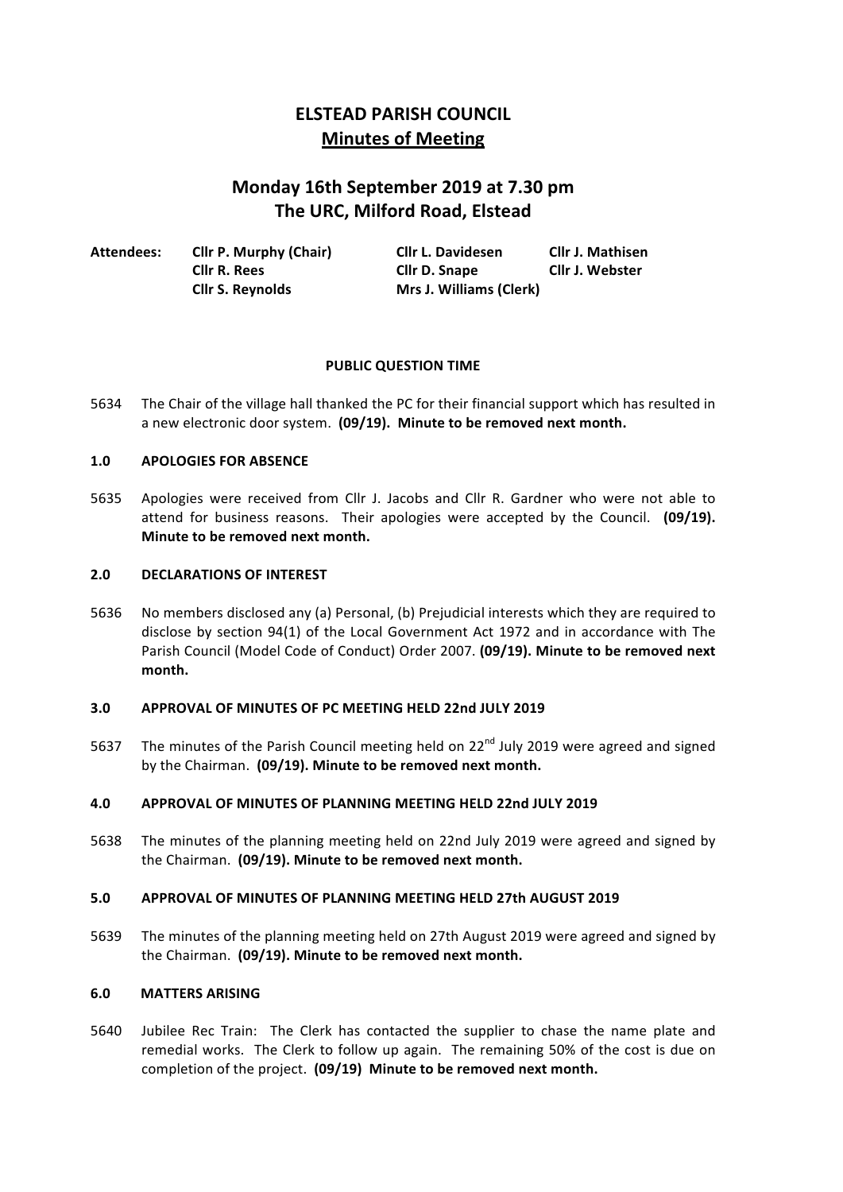# **ELSTEAD PARISH COUNCIL Minutes of Meeting**

# **Monday 16th September 2019 at 7.30 pm The URC, Milford Road, Elstead**

| Attendees: | <b>Cllr P. Murphy (Chair)</b> | Cllr L. Davidesen       | <b>Cllr J. Mathisen</b> |
|------------|-------------------------------|-------------------------|-------------------------|
|            | Cllr R. Rees                  | Cllr D. Snape           | <b>Cllr J. Webster</b>  |
|            | <b>Cllr S. Reynolds</b>       | Mrs J. Williams (Clerk) |                         |

# **PUBLIC QUESTION TIME**

5634 The Chair of the village hall thanked the PC for their financial support which has resulted in a new electronic door system. (09/19). Minute to be removed next month.

# 1.0 **APOLOGIES FOR ABSENCE**

5635 Apologies were received from Cllr J. Jacobs and Cllr R. Gardner who were not able to attend for business reasons. Their apologies were accepted by the Council. (09/19). **Minute to be removed next month.** 

## **2.0 DECLARATIONS OF INTEREST**

5636 No members disclosed any (a) Personal, (b) Prejudicial interests which they are required to disclose by section 94(1) of the Local Government Act 1972 and in accordance with The Parish Council (Model Code of Conduct) Order 2007. (09/19). Minute to be removed next **month.**

# **3.0 APPROVAL OF MINUTES OF PC MEETING HELD 22nd JULY 2019**

5637 The minutes of the Parish Council meeting held on 22<sup>nd</sup> July 2019 were agreed and signed by the Chairman. (09/19). Minute to be removed next month.

# **4.0 APPROVAL OF MINUTES OF PLANNING MEETING HELD 22nd JULY 2019**

5638 The minutes of the planning meeting held on 22nd July 2019 were agreed and signed by the Chairman. (09/19). Minute to be removed next month.

### **5.0 APPROVAL OF MINUTES OF PLANNING MEETING HELD 27th AUGUST 2019**

5639 The minutes of the planning meeting held on 27th August 2019 were agreed and signed by the Chairman. (09/19). Minute to be removed next month.

### **6.0 MATTERS ARISING**

5640 Jubilee Rec Train: The Clerk has contacted the supplier to chase the name plate and remedial works. The Clerk to follow up again. The remaining 50% of the cost is due on completion of the project. (09/19) Minute to be removed next month.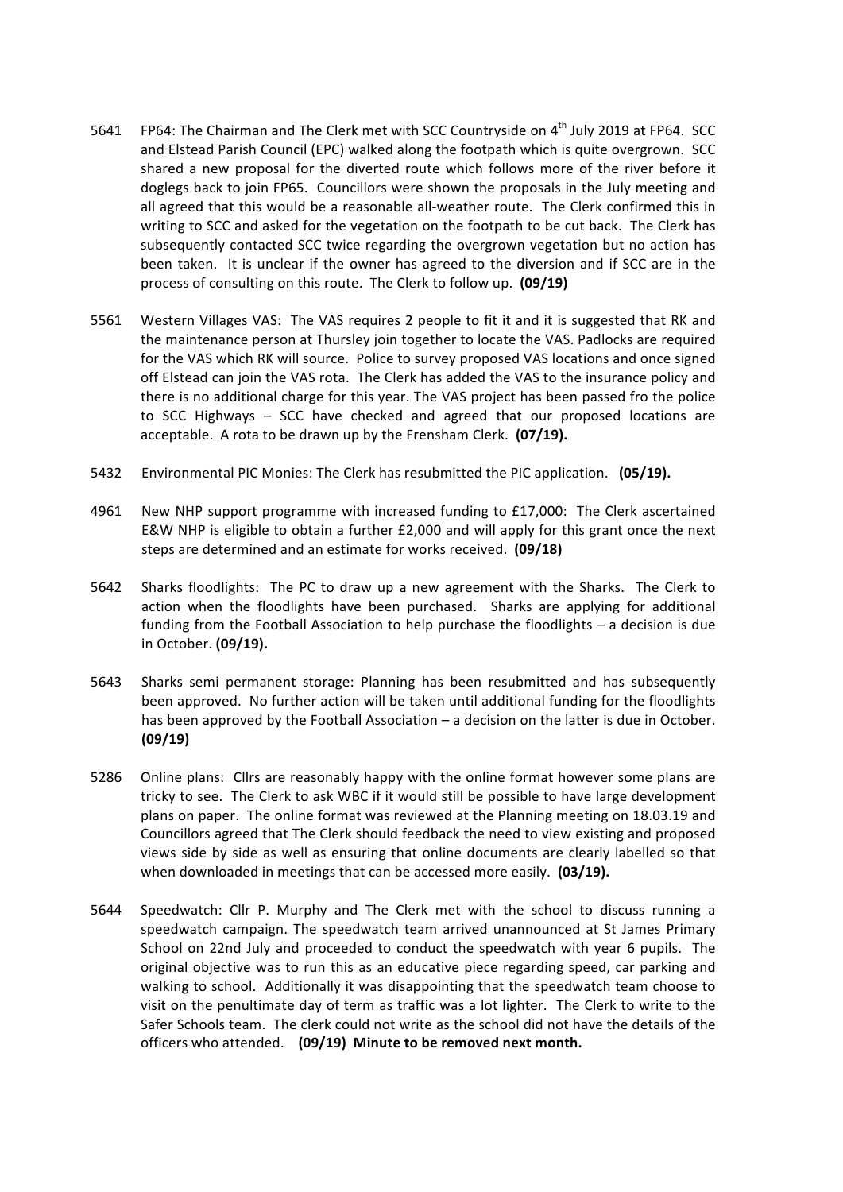- 5641 FP64: The Chairman and The Clerk met with SCC Countryside on 4<sup>th</sup> July 2019 at FP64. SCC and Elstead Parish Council (EPC) walked along the footpath which is quite overgrown. SCC shared a new proposal for the diverted route which follows more of the river before it doglegs back to join FP65. Councillors were shown the proposals in the July meeting and all agreed that this would be a reasonable all-weather route. The Clerk confirmed this in writing to SCC and asked for the vegetation on the footpath to be cut back. The Clerk has subsequently contacted SCC twice regarding the overgrown vegetation but no action has been taken. It is unclear if the owner has agreed to the diversion and if SCC are in the process of consulting on this route. The Clerk to follow up. **(09/19)**
- 5561 Western Villages VAS: The VAS requires 2 people to fit it and it is suggested that RK and the maintenance person at Thursley join together to locate the VAS. Padlocks are required for the VAS which RK will source. Police to survey proposed VAS locations and once signed off Elstead can join the VAS rota. The Clerk has added the VAS to the insurance policy and there is no additional charge for this year. The VAS project has been passed fro the police to SCC Highways  $-$  SCC have checked and agreed that our proposed locations are acceptable. A rota to be drawn up by the Frensham Clerk. (07/19).
- 5432 Environmental PIC Monies: The Clerk has resubmitted the PIC application. (05/19).
- 4961 New NHP support programme with increased funding to £17,000: The Clerk ascertained E&W NHP is eligible to obtain a further  $£2,000$  and will apply for this grant once the next steps are determined and an estimate for works received. (09/18)
- 5642 Sharks floodlights: The PC to draw up a new agreement with the Sharks. The Clerk to action when the floodlights have been purchased. Sharks are applying for additional funding from the Football Association to help purchase the floodlights  $-$  a decision is due in October. **(09/19).**
- 5643 Sharks semi permanent storage: Planning has been resubmitted and has subsequently been approved. No further action will be taken until additional funding for the floodlights has been approved by the Football Association  $-$  a decision on the latter is due in October. **(09/19)**
- 5286 Online plans: Cllrs are reasonably happy with the online format however some plans are tricky to see. The Clerk to ask WBC if it would still be possible to have large development plans on paper. The online format was reviewed at the Planning meeting on 18.03.19 and Councillors agreed that The Clerk should feedback the need to view existing and proposed views side by side as well as ensuring that online documents are clearly labelled so that when downloaded in meetings that can be accessed more easily. (03/19).
- 5644 Speedwatch: Cllr P. Murphy and The Clerk met with the school to discuss running a speedwatch campaign. The speedwatch team arrived unannounced at St James Primary School on 22nd July and proceeded to conduct the speedwatch with year 6 pupils. The original objective was to run this as an educative piece regarding speed, car parking and walking to school. Additionally it was disappointing that the speedwatch team choose to visit on the penultimate day of term as traffic was a lot lighter. The Clerk to write to the Safer Schools team. The clerk could not write as the school did not have the details of the officers who attended. (09/19) Minute to be removed next month.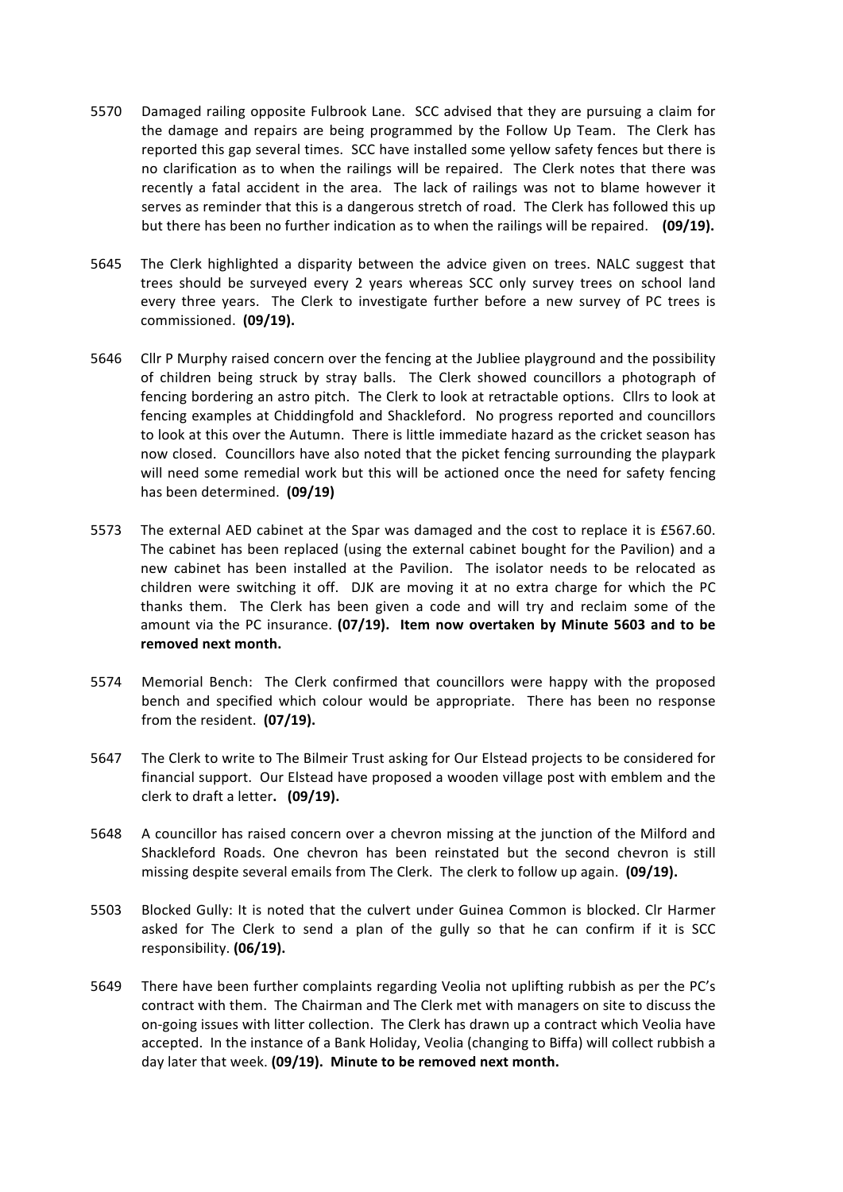- 5570 Damaged railing opposite Fulbrook Lane. SCC advised that they are pursuing a claim for the damage and repairs are being programmed by the Follow Up Team. The Clerk has reported this gap several times. SCC have installed some yellow safety fences but there is no clarification as to when the railings will be repaired. The Clerk notes that there was recently a fatal accident in the area. The lack of railings was not to blame however it serves as reminder that this is a dangerous stretch of road. The Clerk has followed this up but there has been no further indication as to when the railings will be repaired. (09/19).
- 5645 The Clerk highlighted a disparity between the advice given on trees. NALC suggest that trees should be surveyed every 2 years whereas SCC only survey trees on school land every three years. The Clerk to investigate further before a new survey of PC trees is commissioned. (09/19).
- 5646 Cllr P Murphy raised concern over the fencing at the Jubliee playground and the possibility of children being struck by stray balls. The Clerk showed councillors a photograph of fencing bordering an astro pitch. The Clerk to look at retractable options. Cllrs to look at fencing examples at Chiddingfold and Shackleford. No progress reported and councillors to look at this over the Autumn. There is little immediate hazard as the cricket season has now closed. Councillors have also noted that the picket fencing surrounding the playpark will need some remedial work but this will be actioned once the need for safety fencing has been determined. (09/19)
- 5573 The external AED cabinet at the Spar was damaged and the cost to replace it is £567.60. The cabinet has been replaced (using the external cabinet bought for the Pavilion) and a new cabinet has been installed at the Pavilion. The isolator needs to be relocated as children were switching it off. DJK are moving it at no extra charge for which the PC thanks them. The Clerk has been given a code and will try and reclaim some of the amount via the PC insurance. (07/19). Item now overtaken by Minute 5603 and to be removed next month.
- 5574 Memorial Bench: The Clerk confirmed that councillors were happy with the proposed bench and specified which colour would be appropriate. There has been no response from the resident. (07/19).
- 5647 The Clerk to write to The Bilmeir Trust asking for Our Elstead projects to be considered for financial support. Our Elstead have proposed a wooden village post with emblem and the clerk to draft a letter. (09/19).
- 5648 A councillor has raised concern over a chevron missing at the junction of the Milford and Shackleford Roads. One chevron has been reinstated but the second chevron is still missing despite several emails from The Clerk. The clerk to follow up again. (09/19).
- 5503 Blocked Gully: It is noted that the culvert under Guinea Common is blocked. Clr Harmer asked for The Clerk to send a plan of the gully so that he can confirm if it is SCC responsibility. **(06/19).**
- 5649 There have been further complaints regarding Veolia not uplifting rubbish as per the PC's contract with them. The Chairman and The Clerk met with managers on site to discuss the on-going issues with litter collection. The Clerk has drawn up a contract which Veolia have accepted. In the instance of a Bank Holiday, Veolia (changing to Biffa) will collect rubbish a day later that week. (09/19). Minute to be removed next month.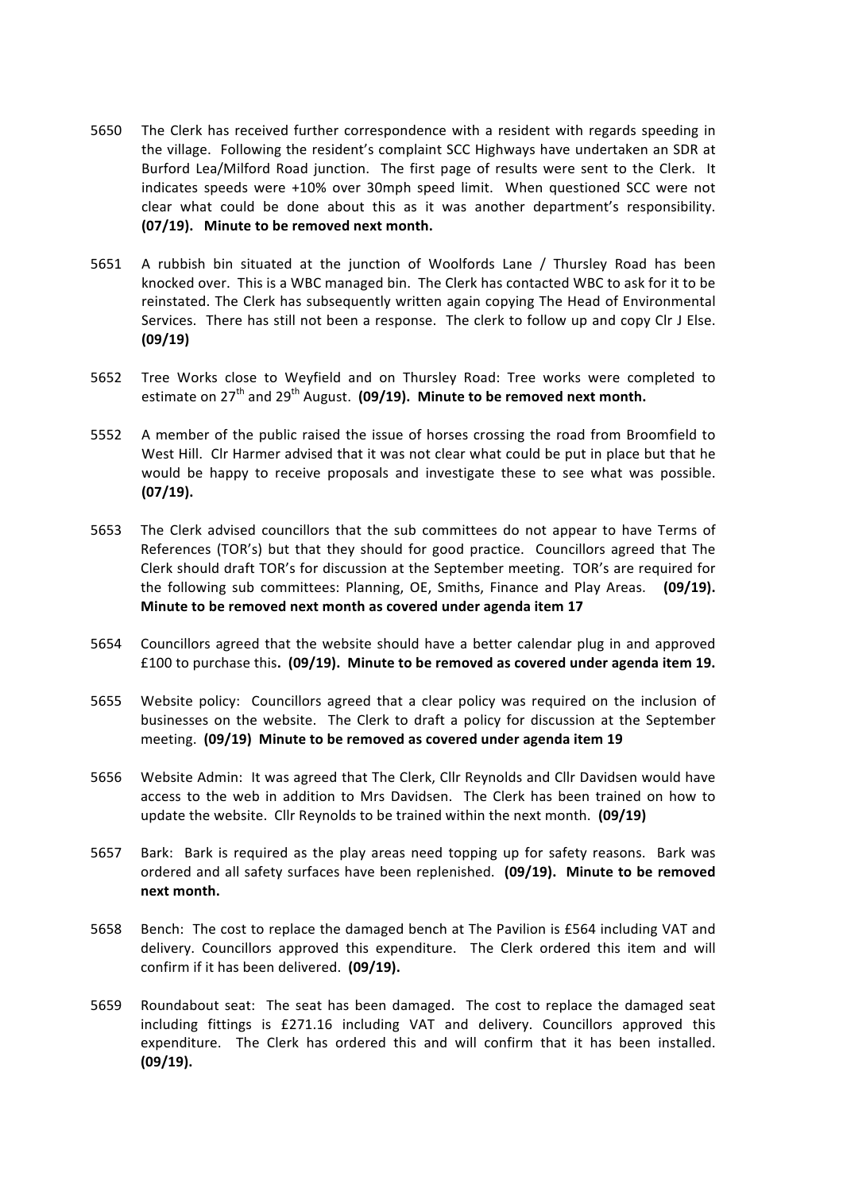- 5650 The Clerk has received further correspondence with a resident with regards speeding in the village. Following the resident's complaint SCC Highways have undertaken an SDR at Burford Lea/Milford Road junction. The first page of results were sent to the Clerk. It indicates speeds were +10% over 30mph speed limit. When questioned SCC were not clear what could be done about this as it was another department's responsibility. **(07/19).** Minute to be removed next month.
- 5651 A rubbish bin situated at the junction of Woolfords Lane / Thursley Road has been knocked over. This is a WBC managed bin. The Clerk has contacted WBC to ask for it to be reinstated. The Clerk has subsequently written again copying The Head of Environmental Services. There has still not been a response. The clerk to follow up and copy Clr J Else. **(09/19)**
- 5652 Tree Works close to Weyfield and on Thursley Road: Tree works were completed to estimate on  $27<sup>th</sup>$  and  $29<sup>th</sup>$  August. (09/19). Minute to be removed next month.
- 5552 A member of the public raised the issue of horses crossing the road from Broomfield to West Hill. Clr Harmer advised that it was not clear what could be put in place but that he would be happy to receive proposals and investigate these to see what was possible. **(07/19).**
- 5653 The Clerk advised councillors that the sub committees do not appear to have Terms of References (TOR's) but that they should for good practice. Councillors agreed that The Clerk should draft TOR's for discussion at the September meeting. TOR's are required for the following sub committees: Planning, OE, Smiths, Finance and Play Areas. **(09/19).** Minute to be removed next month as covered under agenda item 17
- 5654 Councillors agreed that the website should have a better calendar plug in and approved £100 to purchase this. (09/19). Minute to be removed as covered under agenda item 19.
- 5655 Website policy: Councillors agreed that a clear policy was required on the inclusion of businesses on the website. The Clerk to draft a policy for discussion at the September meeting. (09/19) Minute to be removed as covered under agenda item 19
- 5656 Website Admin: It was agreed that The Clerk, Cllr Reynolds and Cllr Davidsen would have access to the web in addition to Mrs Davidsen. The Clerk has been trained on how to update the website. Cllr Reynolds to be trained within the next month. **(09/19)**
- 5657 Bark: Bark is required as the play areas need topping up for safety reasons. Bark was ordered and all safety surfaces have been replenished. (09/19). Minute to be removed **next month.**
- 5658 Bench: The cost to replace the damaged bench at The Pavilion is £564 including VAT and delivery. Councillors approved this expenditure. The Clerk ordered this item and will confirm if it has been delivered. (09/19).
- 5659 Roundabout seat: The seat has been damaged. The cost to replace the damaged seat including fittings is £271.16 including VAT and delivery. Councillors approved this expenditure. The Clerk has ordered this and will confirm that it has been installed. **(09/19).**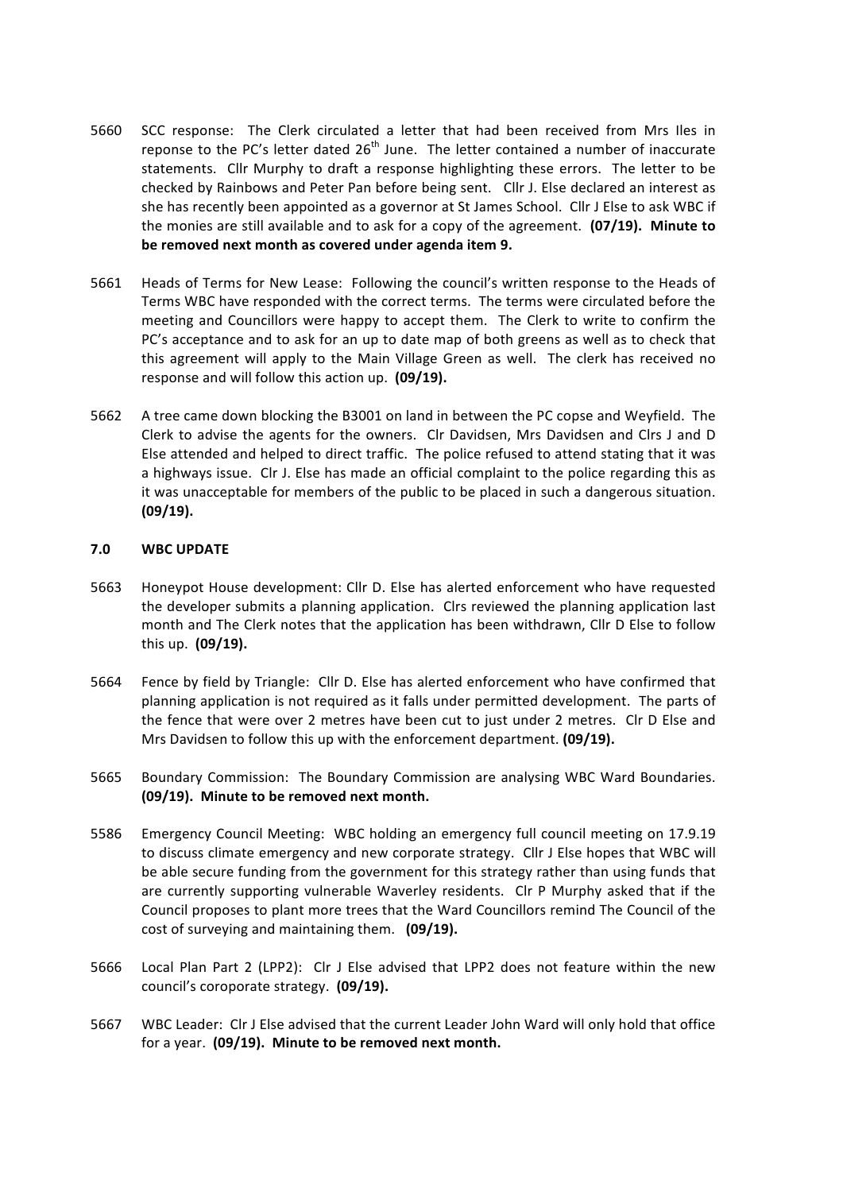- 5660 SCC response: The Clerk circulated a letter that had been received from Mrs Iles in reponse to the PC's letter dated  $26<sup>th</sup>$  June. The letter contained a number of inaccurate statements. Cllr Murphy to draft a response highlighting these errors. The letter to be checked by Rainbows and Peter Pan before being sent. Cllr J. Else declared an interest as she has recently been appointed as a governor at St James School. Cllr J Else to ask WBC if the monies are still available and to ask for a copy of the agreement. (07/19). Minute to be removed next month as covered under agenda item 9.
- 5661 Heads of Terms for New Lease: Following the council's written response to the Heads of Terms WBC have responded with the correct terms. The terms were circulated before the meeting and Councillors were happy to accept them. The Clerk to write to confirm the PC's acceptance and to ask for an up to date map of both greens as well as to check that this agreement will apply to the Main Village Green as well. The clerk has received no response and will follow this action up. (09/19).
- 5662 A tree came down blocking the B3001 on land in between the PC copse and Weyfield. The Clerk to advise the agents for the owners. Clr Davidsen, Mrs Davidsen and Clrs J and D Else attended and helped to direct traffic. The police refused to attend stating that it was a highways issue. Clr J. Else has made an official complaint to the police regarding this as it was unacceptable for members of the public to be placed in such a dangerous situation. **(09/19).**

# **7.0 WBC UPDATE**

- 5663 Honeypot House development: Cllr D. Else has alerted enforcement who have requested the developer submits a planning application. Clrs reviewed the planning application last month and The Clerk notes that the application has been withdrawn, Cllr D Else to follow this up. **(09/19).**
- 5664 Fence by field by Triangle: Cllr D. Else has alerted enforcement who have confirmed that planning application is not required as it falls under permitted development. The parts of the fence that were over 2 metres have been cut to just under 2 metres. CIr D Else and Mrs Davidsen to follow this up with the enforcement department. **(09/19).**
- 5665 Boundary Commission: The Boundary Commission are analysing WBC Ward Boundaries. (09/19). Minute to be removed next month.
- 5586 Emergency Council Meeting: WBC holding an emergency full council meeting on 17.9.19 to discuss climate emergency and new corporate strategy. Cllr J Else hopes that WBC will be able secure funding from the government for this strategy rather than using funds that are currently supporting vulnerable Waverley residents. Clr P Murphy asked that if the Council proposes to plant more trees that the Ward Councillors remind The Council of the cost of surveying and maintaining them. (09/19).
- 5666 Local Plan Part 2 (LPP2): Clr J Else advised that LPP2 does not feature within the new council's coroporate strategy. (09/19).
- 5667 WBC Leader: Clr J Else advised that the current Leader John Ward will only hold that office for a year. (09/19). Minute to be removed next month.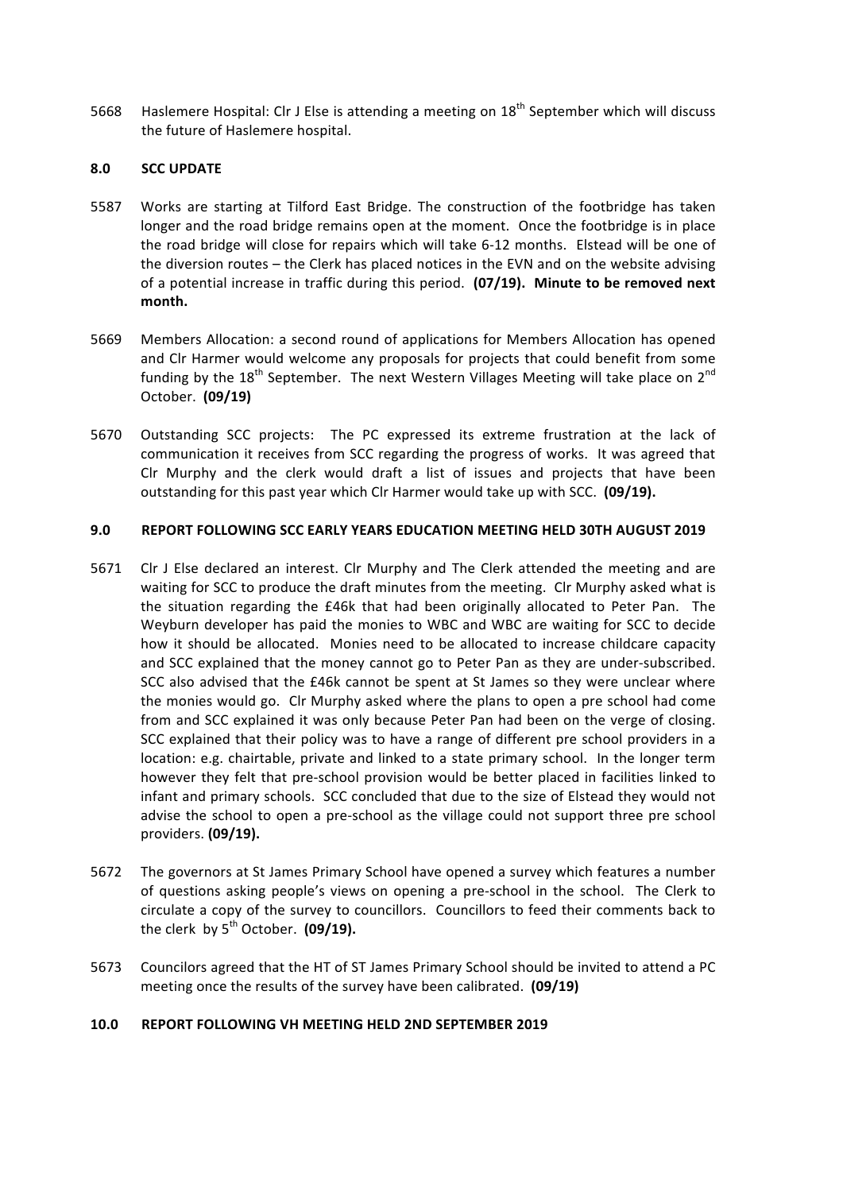5668 Haslemere Hospital: Clr J Else is attending a meeting on  $18<sup>th</sup>$  September which will discuss the future of Haslemere hospital.

# **8.0 SCC UPDATE**

- 5587 Works are starting at Tilford East Bridge. The construction of the footbridge has taken longer and the road bridge remains open at the moment. Once the footbridge is in place the road bridge will close for repairs which will take 6-12 months. Elstead will be one of the diversion routes  $-$  the Clerk has placed notices in the EVN and on the website advising of a potential increase in traffic during this period. **(07/19). Minute to be removed next month.**
- 5669 Members Allocation: a second round of applications for Members Allocation has opened and Clr Harmer would welcome any proposals for projects that could benefit from some funding by the  $18<sup>th</sup>$  September. The next Western Villages Meeting will take place on  $2<sup>nd</sup>$ October. **(09/19)**
- 5670 Outstanding SCC projects: The PC expressed its extreme frustration at the lack of communication it receives from SCC regarding the progress of works. It was agreed that Clr Murphy and the clerk would draft a list of issues and projects that have been outstanding for this past year which Clr Harmer would take up with SCC. **(09/19).**

### **9.0 REPORT FOLLOWING SCC EARLY YEARS EDUCATION MEETING HELD 30TH AUGUST 2019**

- 5671 Clr J Else declared an interest. Clr Murphy and The Clerk attended the meeting and are waiting for SCC to produce the draft minutes from the meeting. Clr Murphy asked what is the situation regarding the £46k that had been originally allocated to Peter Pan. The Weyburn developer has paid the monies to WBC and WBC are waiting for SCC to decide how it should be allocated. Monies need to be allocated to increase childcare capacity and SCC explained that the money cannot go to Peter Pan as they are under-subscribed. SCC also advised that the £46k cannot be spent at St James so they were unclear where the monies would go. Clr Murphy asked where the plans to open a pre school had come from and SCC explained it was only because Peter Pan had been on the verge of closing. SCC explained that their policy was to have a range of different pre school providers in a location: e.g. chairtable, private and linked to a state primary school. In the longer term however they felt that pre-school provision would be better placed in facilities linked to infant and primary schools. SCC concluded that due to the size of Elstead they would not advise the school to open a pre-school as the village could not support three pre school providers. **(09/19).**
- 5672 The governors at St James Primary School have opened a survey which features a number of questions asking people's views on opening a pre-school in the school. The Clerk to circulate a copy of the survey to councillors. Councillors to feed their comments back to the clerk by  $5^{th}$  October.  $(09/19)$ .
- 5673 Councilors agreed that the HT of ST James Primary School should be invited to attend a PC meeting once the results of the survey have been calibrated. **(09/19)**

### **10.0 REPORT FOLLOWING VH MEETING HELD 2ND SEPTEMBER 2019**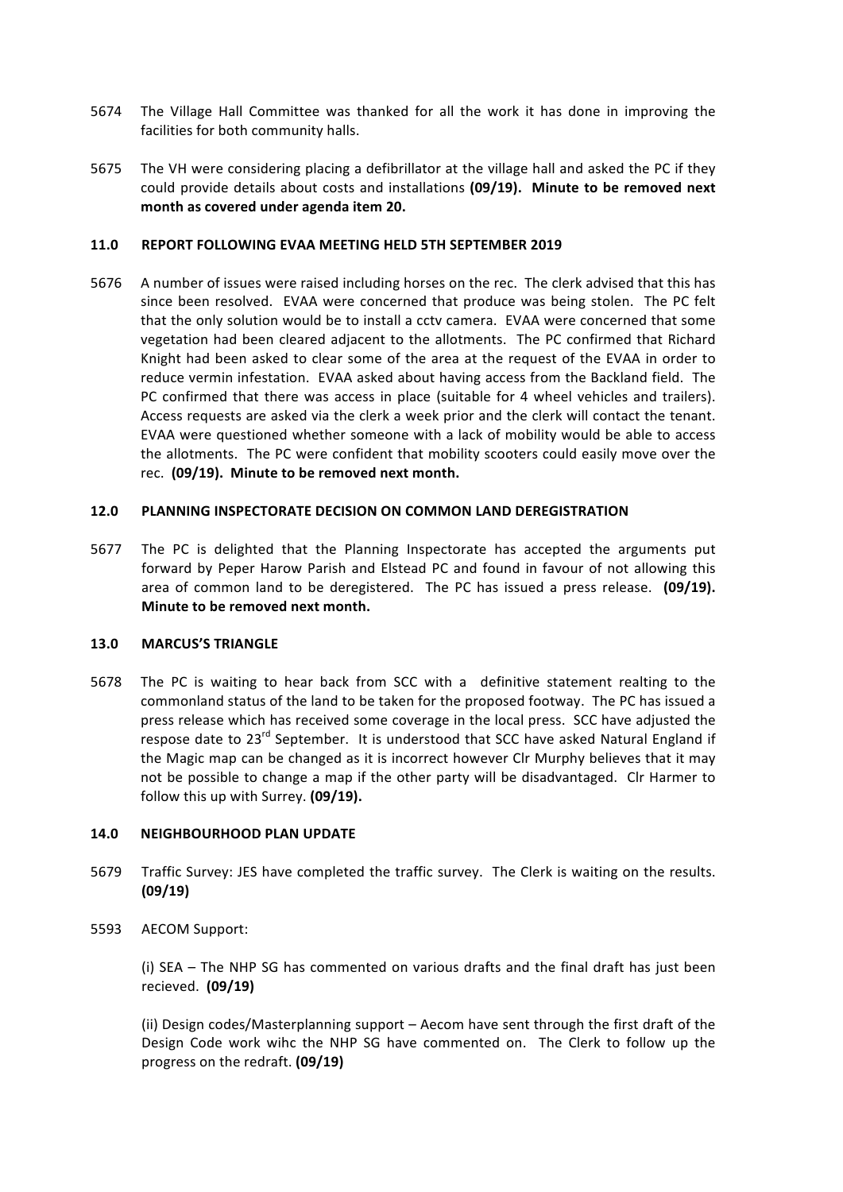- 5674 The Village Hall Committee was thanked for all the work it has done in improving the facilities for both community halls.
- 5675 The VH were considering placing a defibrillator at the village hall and asked the PC if they could provide details about costs and installations (09/19). Minute to be removed next month as covered under agenda item 20.

# **11.0 REPORT FOLLOWING EVAA MEETING HELD 5TH SEPTEMBER 2019**

5676 A number of issues were raised including horses on the rec. The clerk advised that this has since been resolved. EVAA were concerned that produce was being stolen. The PC felt that the only solution would be to install a cctv camera. EVAA were concerned that some vegetation had been cleared adjacent to the allotments. The PC confirmed that Richard Knight had been asked to clear some of the area at the request of the EVAA in order to reduce vermin infestation. EVAA asked about having access from the Backland field. The PC confirmed that there was access in place (suitable for 4 wheel vehicles and trailers). Access requests are asked via the clerk a week prior and the clerk will contact the tenant. EVAA were questioned whether someone with a lack of mobility would be able to access the allotments. The PC were confident that mobility scooters could easily move over the rec. (09/19). Minute to be removed next month.

# **12.0 PLANNING INSPECTORATE DECISION ON COMMON LAND DEREGISTRATION**

5677 The PC is delighted that the Planning Inspectorate has accepted the arguments put forward by Peper Harow Parish and Elstead PC and found in favour of not allowing this area of common land to be deregistered. The PC has issued a press release. (09/19). **Minute to be removed next month.** 

### **13.0 MARCUS'S TRIANGLE**

5678 The PC is waiting to hear back from SCC with a definitive statement realting to the commonland status of the land to be taken for the proposed footway. The PC has issued a press release which has received some coverage in the local press. SCC have adjusted the respose date to  $23^{rd}$  September. It is understood that SCC have asked Natural England if the Magic map can be changed as it is incorrect however CIr Murphy believes that it may not be possible to change a map if the other party will be disadvantaged. CIr Harmer to follow this up with Surrey. (09/19).

### **14.0 NEIGHBOURHOOD PLAN UPDATE**

- 5679 Traffic Survey: JES have completed the traffic survey. The Clerk is waiting on the results. **(09/19)**
- 5593 AECOM Support:

(i) SEA – The NHP SG has commented on various drafts and the final draft has just been recieved. **(09/19)**

(ii) Design codes/Masterplanning support – Aecom have sent through the first draft of the Design Code work wihc the NHP SG have commented on. The Clerk to follow up the progress on the redraft. **(09/19)**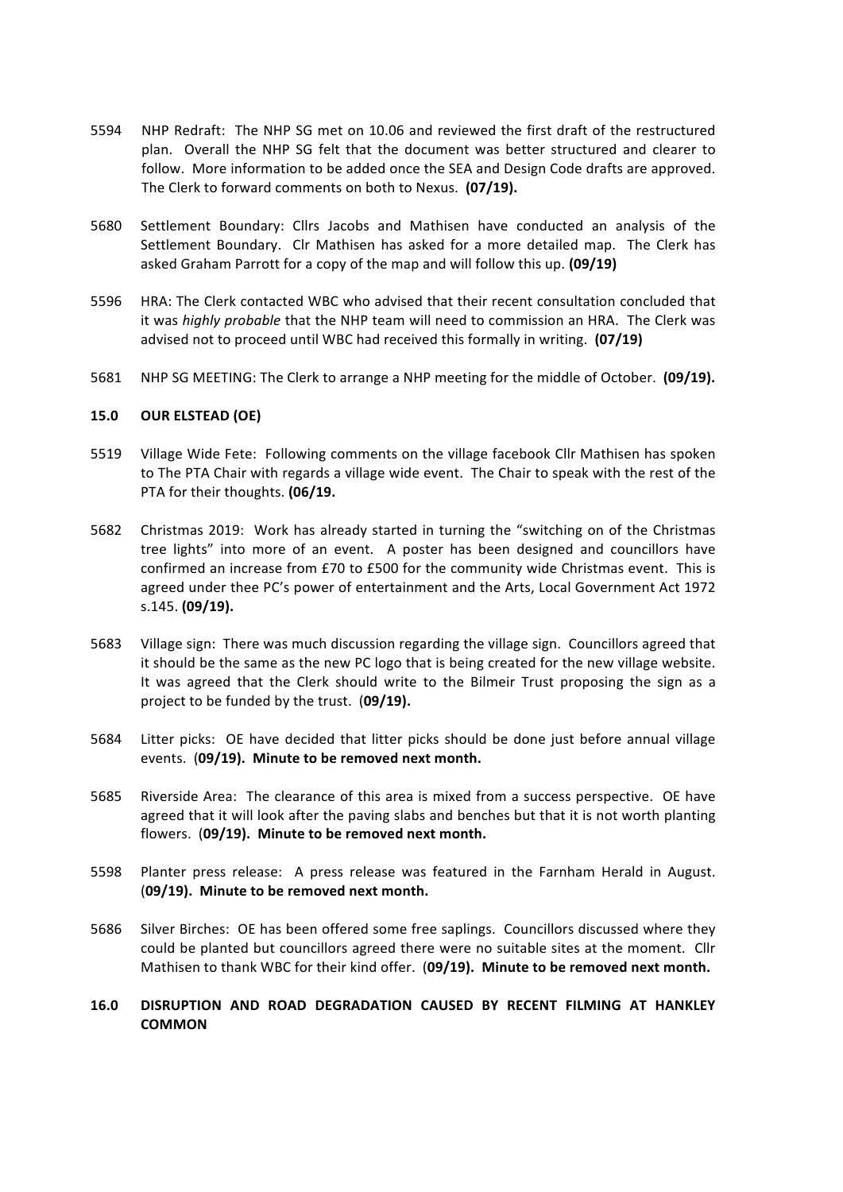- 5594 NHP Redraft: The NHP SG met on 10.06 and reviewed the first draft of the restructured plan. Overall the NHP SG felt that the document was better structured and clearer to follow. More information to be added once the SEA and Design Code drafts are approved. The Clerk to forward comments on both to Nexus. (07/19).
- 5680 Settlement Boundary: Cllrs Jacobs and Mathisen have conducted an analysis of the Settlement Boundary. Clr Mathisen has asked for a more detailed map. The Clerk has asked Graham Parrott for a copy of the map and will follow this up. **(09/19)**
- 5596 HRA: The Clerk contacted WBC who advised that their recent consultation concluded that it was *highly probable* that the NHP team will need to commission an HRA. The Clerk was advised not to proceed until WBC had received this formally in writing. (07/19)
- 5681 NHP SG MEETING: The Clerk to arrange a NHP meeting for the middle of October. (09/19).

### **15.0 OUR ELSTEAD (OE)**

- 5519 Village Wide Fete: Following comments on the village facebook Cllr Mathisen has spoken to The PTA Chair with regards a village wide event. The Chair to speak with the rest of the PTA for their thoughts. **(06/19.**
- 5682 Christmas 2019: Work has already started in turning the "switching on of the Christmas tree lights" into more of an event. A poster has been designed and councillors have confirmed an increase from £70 to £500 for the community wide Christmas event. This is agreed under thee PC's power of entertainment and the Arts, Local Government Act 1972 s.145. (09/19).
- 5683 Village sign: There was much discussion regarding the village sign. Councillors agreed that it should be the same as the new PC logo that is being created for the new village website. It was agreed that the Clerk should write to the Bilmeir Trust proposing the sign as a project to be funded by the trust. (09/19).
- 5684 Litter picks: OE have decided that litter picks should be done just before annual village events. (09/19). Minute to be removed next month.
- 5685 Riverside Area: The clearance of this area is mixed from a success perspective. OE have agreed that it will look after the paving slabs and benches but that it is not worth planting flowers. (09/19). Minute to be removed next month.
- 5598 Planter press release: A press release was featured in the Farnham Herald in August. (**09/19). Minute to be removed next month.**
- 5686 Silver Birches: OE has been offered some free saplings. Councillors discussed where they could be planted but councillors agreed there were no suitable sites at the moment. Cllr Mathisen to thank WBC for their kind offer. (09/19). Minute to be removed next month.

## **16.0 DISRUPTION AND ROAD DEGRADATION CAUSED BY RECENT FILMING AT HANKLEY COMMON**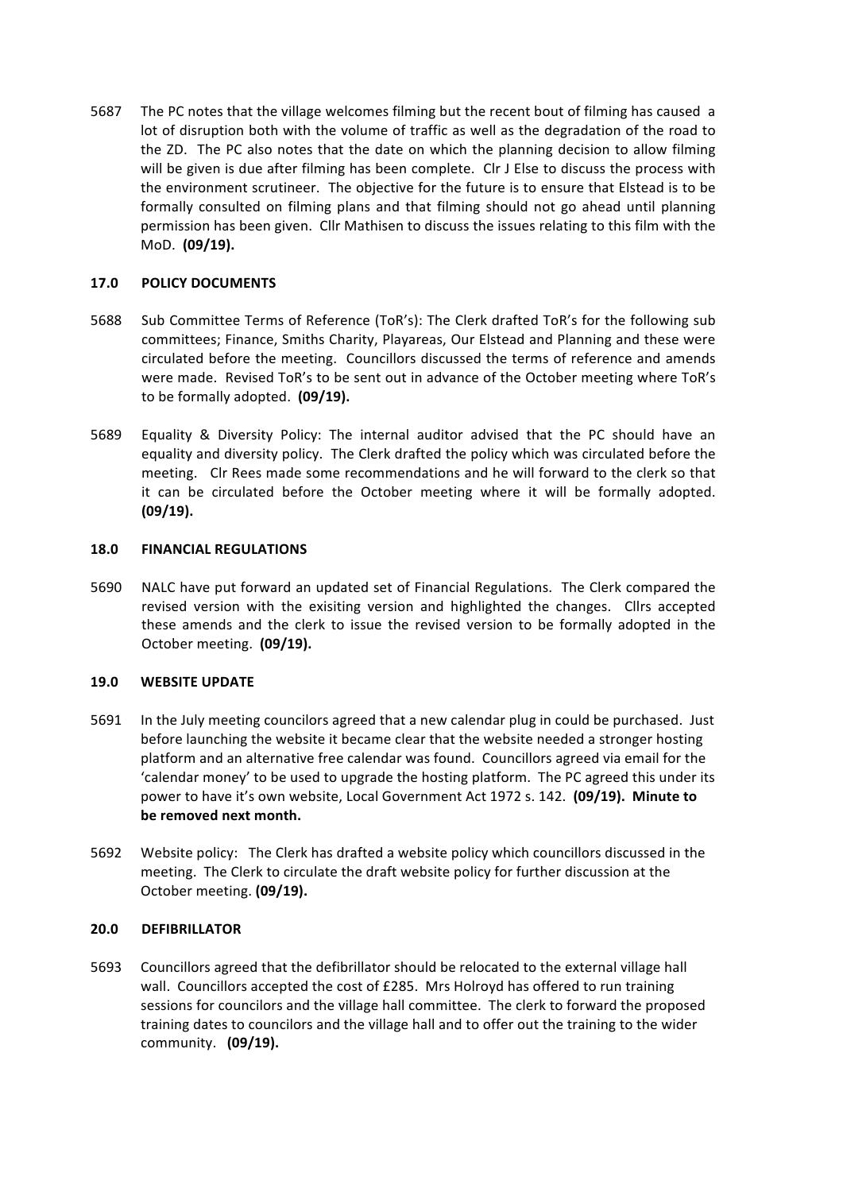5687 The PC notes that the village welcomes filming but the recent bout of filming has caused a lot of disruption both with the volume of traffic as well as the degradation of the road to the ZD. The PC also notes that the date on which the planning decision to allow filming will be given is due after filming has been complete. CIr J Else to discuss the process with the environment scrutineer. The objective for the future is to ensure that Elstead is to be formally consulted on filming plans and that filming should not go ahead until planning permission has been given. Cllr Mathisen to discuss the issues relating to this film with the MoD. **(09/19).**

# **17.0 POLICY DOCUMENTS**

- 5688 Sub Committee Terms of Reference (ToR's): The Clerk drafted ToR's for the following sub committees; Finance, Smiths Charity, Playareas, Our Elstead and Planning and these were circulated before the meeting. Councillors discussed the terms of reference and amends were made. Revised ToR's to be sent out in advance of the October meeting where ToR's to be formally adopted. **(09/19).**
- 5689 Equality & Diversity Policy: The internal auditor advised that the PC should have an equality and diversity policy. The Clerk drafted the policy which was circulated before the meeting. CIr Rees made some recommendations and he will forward to the clerk so that it can be circulated before the October meeting where it will be formally adopted. **(09/19).**

### **18.0 FINANCIAL REGULATIONS**

5690 NALC have put forward an updated set of Financial Regulations. The Clerk compared the revised version with the exisiting version and highlighted the changes. Cllrs accepted these amends and the clerk to issue the revised version to be formally adopted in the October meeting. (09/19).

# **19.0 WEBSITE UPDATE**

- 5691 In the July meeting councilors agreed that a new calendar plug in could be purchased. Just before launching the website it became clear that the website needed a stronger hosting platform and an alternative free calendar was found. Councillors agreed via email for the 'calendar money' to be used to upgrade the hosting platform. The PC agreed this under its power to have it's own website, Local Government Act 1972 s. 142. (09/19). Minute to be removed next month.
- 5692 Website policy: The Clerk has drafted a website policy which councillors discussed in the meeting. The Clerk to circulate the draft website policy for further discussion at the October meeting. (09/19).

# **20.0 DEFIBRILLATOR**

5693 Councillors agreed that the defibrillator should be relocated to the external village hall wall. Councillors accepted the cost of  $E285$ . Mrs Holroyd has offered to run training sessions for councilors and the village hall committee. The clerk to forward the proposed training dates to councilors and the village hall and to offer out the training to the wider community. **(09/19).**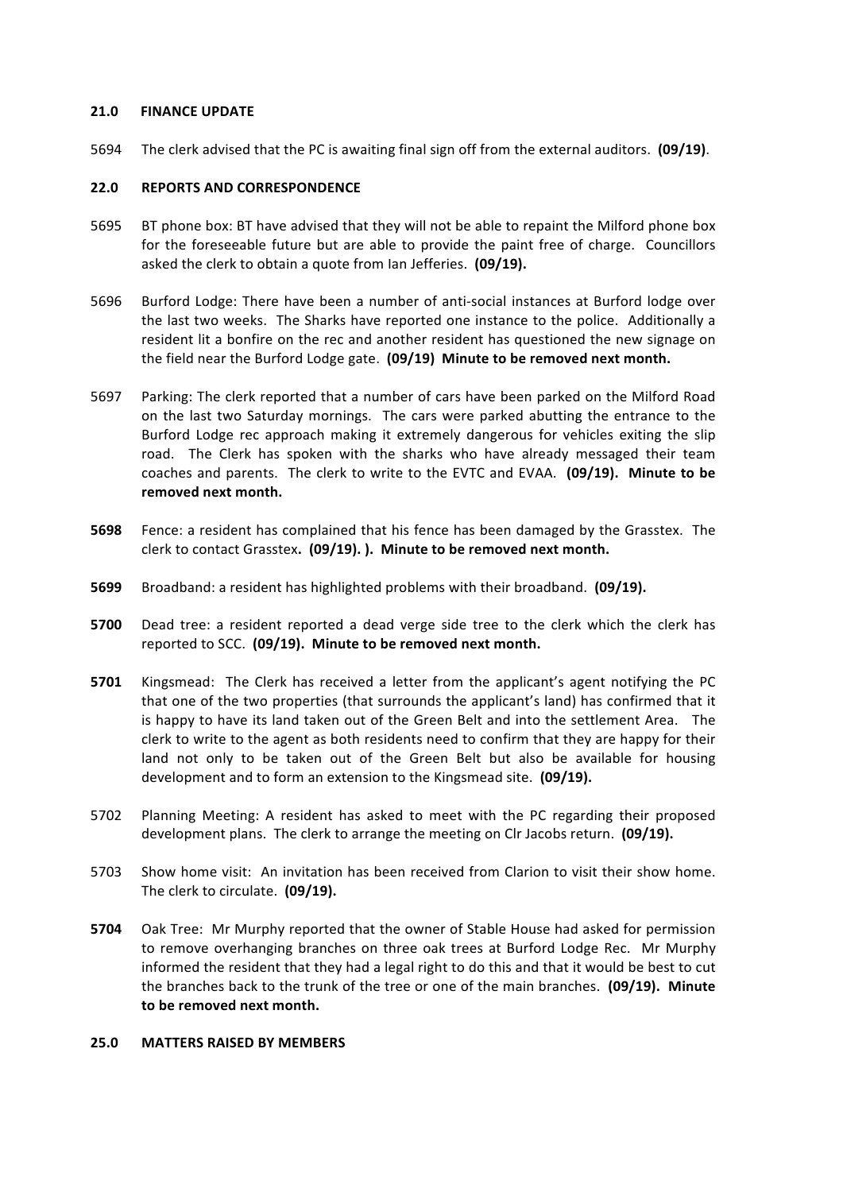### **21.0 FINANCE UPDATE**

5694 The clerk advised that the PC is awaiting final sign off from the external auditors. (09/19).

# **22.0 REPORTS AND CORRESPONDENCE**

- 5695 BT phone box: BT have advised that they will not be able to repaint the Milford phone box for the foreseeable future but are able to provide the paint free of charge. Councillors asked the clerk to obtain a quote from Ian Jefferies. (09/19).
- 5696 Burford Lodge: There have been a number of anti-social instances at Burford lodge over the last two weeks. The Sharks have reported one instance to the police. Additionally a resident lit a bonfire on the rec and another resident has questioned the new signage on the field near the Burford Lodge gate. (09/19) Minute to be removed next month.
- 5697 Parking: The clerk reported that a number of cars have been parked on the Milford Road on the last two Saturday mornings. The cars were parked abutting the entrance to the Burford Lodge rec approach making it extremely dangerous for vehicles exiting the slip road. The Clerk has spoken with the sharks who have already messaged their team coaches and parents. The clerk to write to the EVTC and EVAA. (09/19). Minute to be removed next month.
- **5698** Fence: a resident has complained that his fence has been damaged by the Grasstex. The clerk to contact Grasstex. (09/19). ). Minute to be removed next month.
- **5699** Broadband: a resident has highlighted problems with their broadband. **(09/19).**
- **5700** Dead tree: a resident reported a dead verge side tree to the clerk which the clerk has reported to SCC. (09/19). Minute to be removed next month.
- **5701** Kingsmead: The Clerk has received a letter from the applicant's agent notifying the PC that one of the two properties (that surrounds the applicant's land) has confirmed that it is happy to have its land taken out of the Green Belt and into the settlement Area. The clerk to write to the agent as both residents need to confirm that they are happy for their land not only to be taken out of the Green Belt but also be available for housing development and to form an extension to the Kingsmead site. (09/19).
- 5702 Planning Meeting: A resident has asked to meet with the PC regarding their proposed development plans. The clerk to arrange the meeting on Clr Jacobs return. **(09/19).**
- 5703 Show home visit: An invitation has been received from Clarion to visit their show home. The clerk to circulate. (09/19).
- **5704** Oak Tree: Mr Murphy reported that the owner of Stable House had asked for permission to remove overhanging branches on three oak trees at Burford Lodge Rec. Mr Murphy informed the resident that they had a legal right to do this and that it would be best to cut the branches back to the trunk of the tree or one of the main branches. **(09/19). Minute** to be removed next month.

# **25.0 MATTERS RAISED BY MEMBERS**